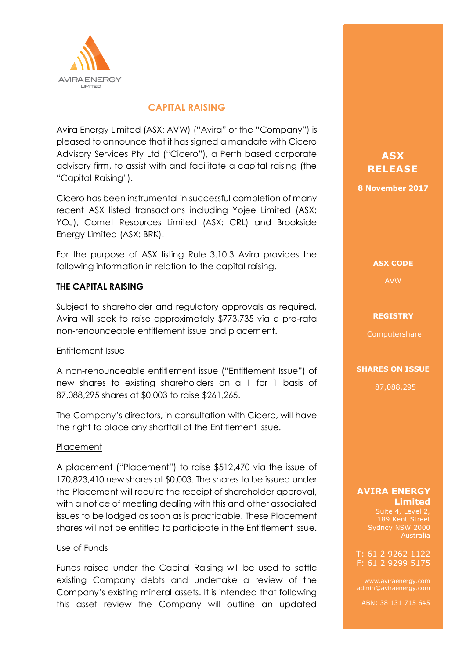

## **CAPITAL RAISING**

Avira Energy Limited (ASX: AVW) ("Avira" or the "Company") is pleased to announce that it has signed a mandate with Cicero Advisory Services Pty Ltd ("Cicero"), a Perth based corporate advisory firm, to assist with and facilitate a capital raising (the "Capital Raising").

Cicero has been instrumental in successful completion of many recent ASX listed transactions including Yojee Limited (ASX: YOJ), Comet Resources Limited (ASX: CRL) and Brookside Energy Limited (ASX: BRK).

For the purpose of ASX listing Rule 3.10.3 Avira provides the following information in relation to the capital raising.

## **THE CAPITAL RAISING**

Subject to shareholder and regulatory approvals as required, Avira will seek to raise approximately \$773,735 via a pro-rata non-renounceable entitlement issue and placement.

## Entitlement Issue

A non-renounceable entitlement issue ("Entitlement Issue") of new shares to existing shareholders on a 1 for 1 basis of 87,088,295 shares at \$0.003 to raise \$261,265.

The Company's directors, in consultation with Cicero, will have the right to place any shortfall of the Entitlement Issue.

## Placement

A placement ("Placement") to raise \$512,470 via the issue of 170,823,410 new shares at \$0.003. The shares to be issued under the Placement will require the receipt of shareholder approval, with a notice of meeting dealing with this and other associated issues to be lodged as soon as is practicable. These Placement shares will not be entitled to participate in the Entitlement Issue.

## Use of Funds

Funds raised under the Capital Raising will be used to settle existing Company debts and undertake a review of the Company's existing mineral assets. It is intended that following this asset review the Company will outline an updated

**ASX ASX RELEASE RELEASE**

**8 November 2017 8 November 2017**

**ASX CODE ASX CODE** AVW AVW

#### **REGISTRY REGISTRY**

Computershare Computershare

**SHARES ON ISSUE SHARES ON ISSUE**

87,088,295 87,088,295

## **AVIRA ENERGY AVIRA ENERGY Limited Limited**

13.05 Suite 4, Level 2, Sydney NSW 2000 Australia

T: 61 2 9262 1122 F: 61 2 9299 5175

www.aviraenergy.com admin@aviraenergy.com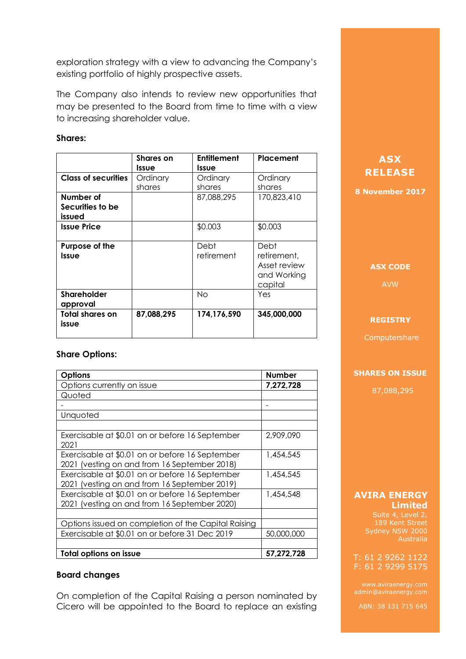exploration strategy with a view to advancing the Company's existing portfolio of highly prospective assets.

The Company also intends to review new opportunities that may be presented to the Board from time to time with a view to increasing shareholder value.

## **Shares:**

|                            | <b>Shares</b> on | <b>Entitlement</b> | Placement                                                     |
|----------------------------|------------------|--------------------|---------------------------------------------------------------|
|                            | <b>Issue</b>     | Issue              |                                                               |
| <b>Class of securities</b> | Ordinary         | Ordinary           | Ordinary                                                      |
|                            | shares           | shares             | shares                                                        |
| Number of                  |                  | 87,088,295         | 170,823,410                                                   |
| Securities to be           |                  |                    |                                                               |
| issued                     |                  |                    |                                                               |
| <b>Issue Price</b>         |                  | \$0.003            | \$0.003                                                       |
| Purpose of the<br>Issue    |                  | Debt<br>retirement | Debt<br>retirement,<br>Asset review<br>and Working<br>capital |
| Shareholder<br>approval    |                  | No                 | Yes                                                           |
| Total shares on<br>issue   | 87,088,295       | 174,176,590        | 345,000,000                                                   |

## **Share Options:**

| <b>Options</b>                                          | <b>Number</b> |
|---------------------------------------------------------|---------------|
| Options currently on issue                              | 7,272,728     |
| Quoted                                                  |               |
|                                                         |               |
| Unquoted                                                |               |
|                                                         |               |
| Exercisable at \$0.01 on or before 16 September<br>2021 | 2,909,090     |
| Exercisable at \$0.01 on or before 16 September         | 1,454,545     |
| 2021 (vesting on and from 16 September 2018)            |               |
| Exercisable at \$0.01 on or before 16 September         | 1,454,545     |
| 2021 (vesting on and from 16 September 2019)            |               |
| Exercisable at \$0.01 on or before 16 September         | 1,454,548     |
| 2021 (vesting on and from 16 September 2020)            |               |
|                                                         |               |
| Options issued on completion of the Capital Raising     |               |
| Exercisable at \$0.01 on or before 31 Dec 2019          | 50,000,000    |
|                                                         |               |
| Total options on issue                                  | 57,272,728    |

## **Board changes**

On completion of the Capital Raising a person nominated by Cicero will be appointed to the Board to replace an existing

# **ASX RELEASE**

**8 November 2017**

## **ASX CODE**

AVW

### **REGISTRY**

Computershare

### **SHARES ON ISSUE**

87,088,295

### **AVIRA ENERGY Limited**

Suite 4, Level 2, 189 Kent Street Sydney NSW 2000 Australia

### T: 61 2 9262 1122 F: 61 2 9299 5175

www.aviraenergy.com admin@aviraenergy.com